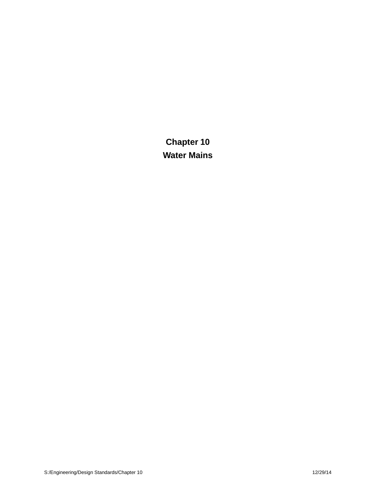**Chapter 10 Water Mains**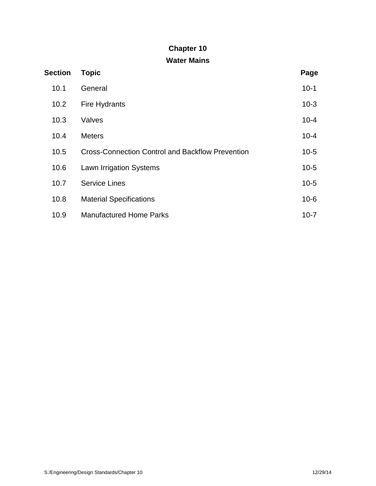# **Chapter 10**

# **Water Mains**

| <b>Section</b> | <b>Topic</b>                                            | Page     |
|----------------|---------------------------------------------------------|----------|
| 10.1           | General                                                 | $10-1$   |
| 10.2           | <b>Fire Hydrants</b>                                    | $10-3$   |
| 10.3           | Valves                                                  | $10 - 4$ |
| 10.4           | <b>Meters</b>                                           | $10 - 4$ |
| 10.5           | <b>Cross-Connection Control and Backflow Prevention</b> | $10-5$   |
| 10.6           | <b>Lawn Irrigation Systems</b>                          | $10-5$   |
| 10.7           | <b>Service Lines</b>                                    | $10-5$   |
| 10.8           | <b>Material Specifications</b>                          | $10 - 6$ |
| 10.9           | <b>Manufactured Home Parks</b>                          | $10 - 7$ |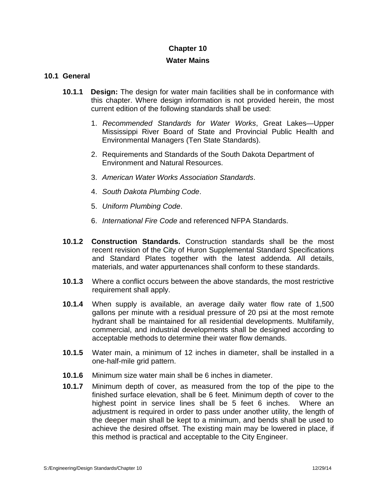## **Chapter 10**

#### **Water Mains**

#### **10.1 General**

- **10.1.1 Design:** The design for water main facilities shall be in conformance with this chapter. Where design information is not provided herein, the most current edition of the following standards shall be used:
	- 1. *Recommended Standards for Water Works*, Great Lakes—Upper Mississippi River Board of State and Provincial Public Health and Environmental Managers (Ten State Standards).
	- 2. Requirements and Standards of the South Dakota Department of Environment and Natural Resources.
	- 3. *American Water Works Association Standards*.
	- 4. *South Dakota Plumbing Code*.
	- 5. *Uniform Plumbing Code*.
	- 6. *International Fire Code* and referenced NFPA Standards.
- **10.1.2 Construction Standards.** Construction standards shall be the most recent revision of the City of Huron Supplemental Standard Specifications and Standard Plates together with the latest addenda. All details, materials, and water appurtenances shall conform to these standards.
- **10.1.3** Where a conflict occurs between the above standards, the most restrictive requirement shall apply.
- **10.1.4** When supply is available, an average daily water flow rate of 1,500 gallons per minute with a residual pressure of 20 psi at the most remote hydrant shall be maintained for all residential developments. Multifamily, commercial, and industrial developments shall be designed according to acceptable methods to determine their water flow demands.
- **10.1.5** Water main, a minimum of 12 inches in diameter, shall be installed in a one-half-mile grid pattern.
- **10.1.6** Minimum sizewater main shall be 6 inches in diameter.
- **10.1.7** Minimum depth of cover, as measured from the top of the pipe to the finished surface elevation, shall be 6 feet. Minimum depth of cover to the highest point in service lines shall be 5 feet 6 inches. Where an adjustment is required in order to pass under another utility, the length of the deeper main shall be kept to a minimum, and bends shall be used to achieve the desired offset. The existing main may be lowered in place, if this method is practical and acceptable to the City Engineer.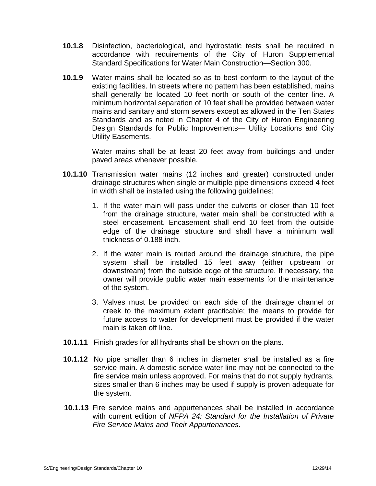- **10.1.8** Disinfection, bacteriological, and hydrostatic tests shall be required in accordance with requirements of the City of Huron Supplemental Standard Specifications for Water Main Construction—Section 300.
- **10.1.9** Water mains shall be located so as to best conform to the layout of the existing facilities. In streets where no pattern has been established, mains shall generally be located 10 feet north or south of the center line. A minimum horizontal separation of 10 feet shall be provided between water mains and sanitary and storm sewers except as allowed in the Ten States Standards and as noted in Chapter 4 of the City of Huron Engineering Design Standards for Public Improvements— Utility Locations and City Utility Easements.

Water mains shall be at least 20 feet away from buildings and under paved areas whenever possible.

- **10.1.10** Transmission water mains (12 inches and greater) constructed under drainage structures when single or multiple pipe dimensions exceed 4 feet in width shall be installed using the following guidelines:
	- 1. If the water main will pass under the culverts or closer than 10 feet from the drainage structure, water main shall be constructed with a steel encasement. Encasement shall end 10 feet from the outside edge of the drainage structure and shall have a minimum wall thickness of 0.188 inch.
	- 2. If the water main is routed around the drainage structure, the pipe system shall be installed 15 feet away (either upstream or downstream) from the outside edge of the structure. If necessary, the owner will provide public water main easements for the maintenance of the system.
	- 3. Valves must be provided on each side of the drainage channel or creek to the maximum extent practicable; the means to provide for future access to water for development must be provided if the water main is taken off line.
- **10.1.11** Finish grades for all hydrants shall be shown on the plans.
- **10.1.12** No pipe smaller than 6 inches in diameter shall be installed as a fire service main. A domestic service water line may not be connected to the fire service main unless approved. For mains that do not supply hydrants, sizes smaller than 6 inches may be used if supply is proven adequate for the system.
- **10.1.13** Fire service mains and appurtenances shall be installed in accordance with current edition of *NFPA 24: Standard for the Installation of Private Fire Service Mains and Their Appurtenances*.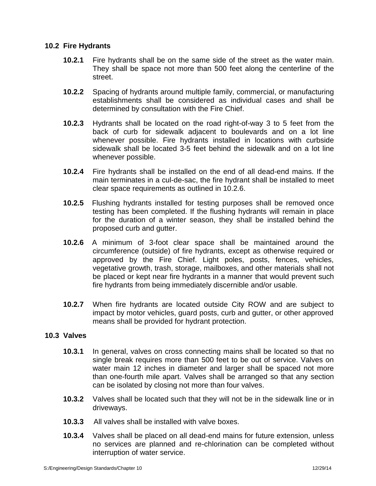# **10.2 Fire Hydrants**

- **10.2.1** Fire hydrants shall be on the same side of the street as the water main. They shall be space not more than 500 feet along the centerline of the street.
- **10.2.2** Spacing of hydrants around multiple family, commercial, or manufacturing establishments shall be considered as individual cases and shall be determined by consultation with the Fire Chief.
- **10.2.3** Hydrants shall be located on the road right-of-way 3 to 5 feet from the back of curb for sidewalk adjacent to boulevards and on a lot line whenever possible. Fire hydrants installed in locations with curbside sidewalk shall be located 3-5 feet behind the sidewalk and on a lot line whenever possible.
- **10.2.4** Fire hydrants shall be installed on the end of all dead-end mains. If the main terminates in a cul-de-sac, the fire hydrant shall be installed to meet clear space requirements as outlined in 10.2.6.
- **10.2.5** Flushing hydrants installed for testing purposes shall be removed once testing has been completed. If the flushing hydrants will remain in place for the duration of a winter season, they shall be installed behind the proposed curb and gutter.
- **10.2.6** A minimum of 3-foot clear space shall be maintained around the circumference (outside) of fire hydrants, except as otherwise required or approved by the Fire Chief. Light poles, posts, fences, vehicles, vegetative growth, trash, storage, mailboxes, and other materials shall not be placed or kept near fire hydrants in a manner that would prevent such fire hydrants from being immediately discernible and/or usable.
- **10.2.7** When fire hydrants are located outside City ROW and are subject to impact by motor vehicles, guard posts, curb and gutter, or other approved means shall be provided for hydrant protection.

# **10.3 Valves**

- **10.3.1** In general, valves on cross connecting mains shall be located so that no single break requires more than 500 feet to be out of service. Valves on water main 12 inches in diameter and larger shall be spaced not more than one-fourth mile apart. Valves shall be arranged so that any section can be isolated by closing not more than four valves.
- **10.3.2** Valves shall be located such that they will not be in the sidewalk line or in driveways.
- **10.3.3** All valves shall be installed with valve boxes.
- **10.3.4** Valves shall be placed on all dead-end mains for future extension, unless no services are planned and re-chlorination can be completed without interruption of water service.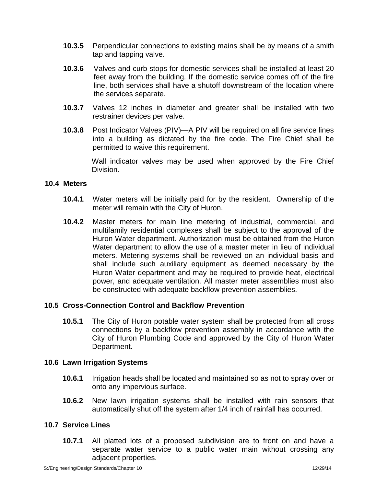- **10.3.5** Perpendicular connections to existing mains shall be by means of a smith tap and tapping valve.
- **10.3.6** Valves and curb stops for domestic services shall be installed at least 20 feet away from the building. If the domestic service comes off of the fire line, both services shall have a shutoff downstream of the location where the services separate.
- **10.3.7** Valves 12 inches in diameter and greater shall be installed with two restrainer devices per valve.
- **10.3.8** Post Indicator Valves (PIV)—A PIV will be required on all fire service lines into a building as dictated by the fire code. The Fire Chief shall be permitted to waive this requirement.

Wall indicator valves may be used when approved by the Fire Chief Division.

### **10.4 Meters**

- **10.4.1** Water meters will be initially paid for by the resident. Ownership of the meter will remain with the City of Huron.
- **10.4.2** Master meters for main line metering of industrial, commercial, and multifamily residential complexes shall be subject to the approval of the Huron Water department. Authorization must be obtained from the Huron Water department to allow the use of a master meter in lieu of individual meters. Metering systems shall be reviewed on an individual basis and shall include such auxiliary equipment as deemed necessary by the Huron Water department and may be required to provide heat, electrical power, and adequate ventilation. All master meter assemblies must also be constructed with adequate backflow prevention assemblies.

# **10.5 Cross-Connection Control and Backflow Prevention**

**10.5.1** The City of Huron potable water system shall be protected from all cross connections by a backflow prevention assembly in accordance with the City of Huron Plumbing Code and approved by the City of Huron Water Department.

#### **10.6 Lawn Irrigation Systems**

- **10.6.1** Irrigation heads shall be located and maintained so as not to spray over or onto any impervious surface.
- **10.6.2** New lawn irrigation systems shall be installed with rain sensors that automatically shut off the system after 1/4 inch of rainfall has occurred.

# **10.7 Service Lines**

**10.7.1** All platted lots of a proposed subdivision are to front on and have a separate water service to a public water main without crossing any adjacent properties.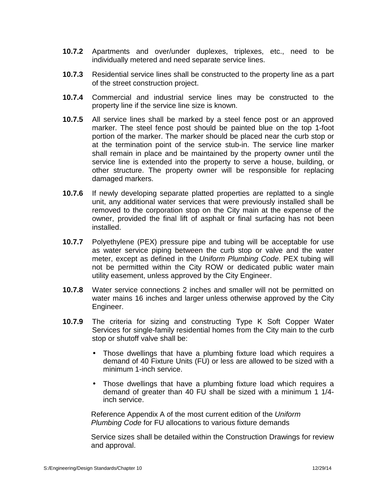- **10.7.2** Apartments and over/under duplexes, triplexes, etc., need to be individually metered and need separate service lines.
- **10.7.3** Residential service lines shall be constructed to the property line as a part of the street construction project.
- **10.7.4** Commercial and industrial service lines may be constructed to the property line if the service line size is known.
- **10.7.5** All service lines shall be marked by a steel fence post or an approved marker. The steel fence post should be painted blue on the top 1-foot portion of the marker. The marker should be placed near the curb stop or at the termination point of the service stub-in. The service line marker shall remain in place and be maintained by the property owner until the service line is extended into the property to serve a house, building, or other structure. The property owner will be responsible for replacing damaged markers.
- **10.7.6** If newly developing separate platted properties are replatted to a single unit, any additional water services that were previously installed shall be removed to the corporation stop on the City main at the expense of the owner, provided the final lift of asphalt or final surfacing has not been installed.
- **10.7.7** Polyethylene (PEX) pressure pipe and tubing will be acceptable for use as water service piping between the curb stop or valve and the water meter, except as defined in the *Uniform Plumbing Code*. PEX tubing will not be permitted within the City ROW or dedicated public water main utility easement, unless approved by the City Engineer.
- **10.7.8** Water service connections 2 inches and smaller will not be permitted on water mains 16 inches and larger unless otherwise approved by the City Engineer.
- **10.7.9** The criteria for sizing and constructing Type K Soft Copper Water Services for single-family residential homes from the City main to the curb stop or shutoff valve shall be:
	- Those dwellings that have a plumbing fixture load which requires a demand of 40 Fixture Units (FU) or less are allowed to be sized with a minimum 1-inch service.
	- Those dwellings that have a plumbing fixture load which requires a demand of greater than 40 FU shall be sized with a minimum 1 1/4 inch service.

Reference Appendix A of the most current edition of the *Uniform Plumbing Code* for FU allocations to various fixture demands

Service sizes shall be detailed within the Construction Drawings for review and approval.